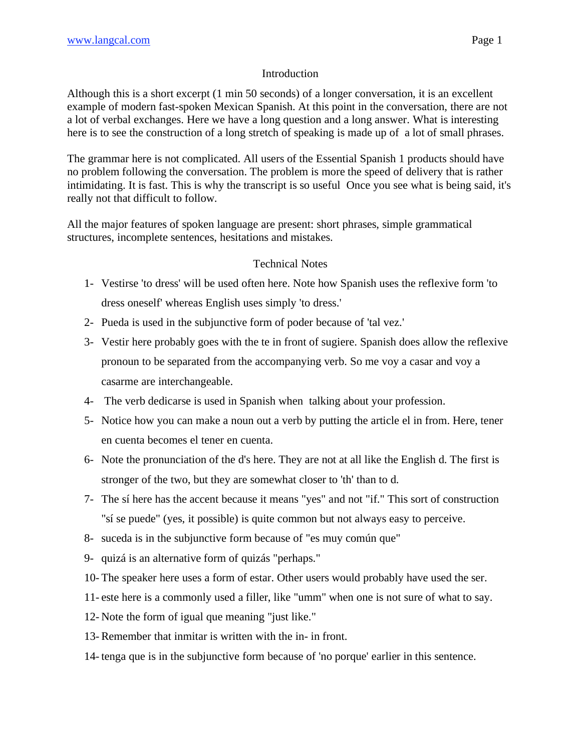## Introduction

Although this is a short excerpt (1 min 50 seconds) of a longer conversation, it is an excellent example of modern fast-spoken Mexican Spanish. At this point in the conversation, there are not a lot of verbal exchanges. Here we have a long question and a long answer. What is interesting here is to see the construction of a long stretch of speaking is made up of a lot of small phrases.

The grammar here is not complicated. All users of the Essential Spanish 1 products should have no problem following the conversation. The problem is more the speed of delivery that is rather intimidating. It is fast. This is why the transcript is so useful Once you see what is being said, it's really not that difficult to follow.

All the major features of spoken language are present: short phrases, simple grammatical structures, incomplete sentences, hesitations and mistakes.

## Technical Notes

- 1- Vestirse 'to dress' will be used often here. Note how Spanish uses the reflexive form 'to dress oneself' whereas English uses simply 'to dress.'
- 2- Pueda is used in the subjunctive form of poder because of 'tal vez.'
- 3- Vestir here probably goes with the te in front of sugiere. Spanish does allow the reflexive pronoun to be separated from the accompanying verb. So me voy a casar and voy a casarme are interchangeable.
- 4- The verb dedicarse is used in Spanish when talking about your profession.
- 5- Notice how you can make a noun out a verb by putting the article el in from. Here, tener en cuenta becomes el tener en cuenta.
- 6- Note the pronunciation of the d's here. They are not at all like the English d. The first is stronger of the two, but they are somewhat closer to 'th' than to d.
- 7- The sí here has the accent because it means "yes" and not "if." This sort of construction "sí se puede" (yes, it possible) is quite common but not always easy to perceive.
- 8- suceda is in the subjunctive form because of "es muy común que"
- 9- quizá is an alternative form of quizás "perhaps."
- 10- The speaker here uses a form of estar. Other users would probably have used the ser.
- 11- este here is a commonly used a filler, like "umm" when one is not sure of what to say.
- 12- Note the form of igual que meaning "just like."
- 13- Remember that inmitar is written with the in- in front.
- 14- tenga que is in the subjunctive form because of 'no porque' earlier in this sentence.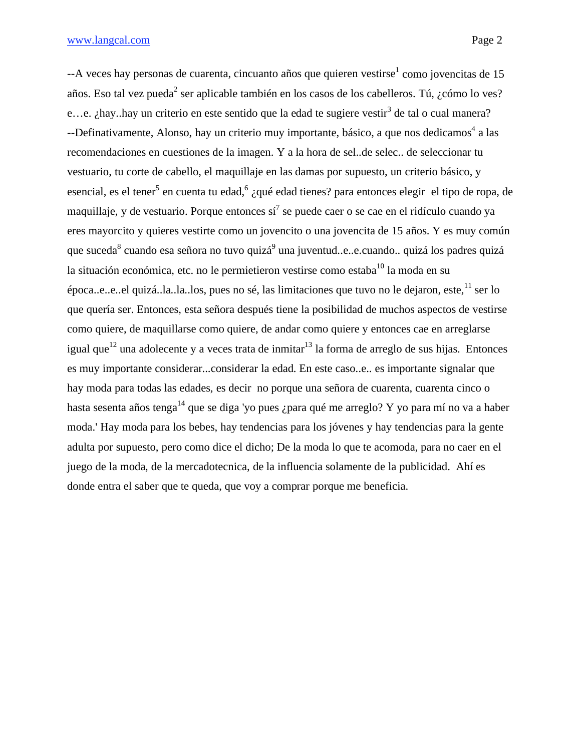## www.langcal.com Page 2

--A veces hay personas de cuarenta, cincuanto años que quieren vestirse<sup>1</sup> como jovencitas de 15 años. Eso tal vez pueda<sup>2</sup> ser aplicable también en los casos de los cabelleros. Tú, ¿cómo lo ves? e...e. ¿hay..hay un criterio en este sentido que la edad te sugiere vestir<sup>3</sup> de tal o cual manera? --Definativamente, Alonso, hay un criterio muy importante, básico, a que nos dedicamos<sup>4</sup> a las recomendaciones en cuestiones de la imagen. Y a la hora de sel..de selec.. de seleccionar tu vestuario, tu corte de cabello, el maquillaje en las damas por supuesto, un criterio básico, y esencial, es el tener<sup>5</sup> en cuenta tu edad,<sup>6</sup> ¿qué edad tienes? para entonces elegir el tipo de ropa, de maquillaje, y de vestuario. Porque entonces sí<sup>7</sup> se puede caer o se cae en el ridículo cuando ya eres mayorcito y quieres vestirte como un jovencito o una jovencita de 15 años. Y es muy común que suceda $^8$  cuando esa señora no tuvo quizá $^9$  una juventud..e..e.cuando.. quizá los padres quizá la situación económica, etc. no le permietieron vestirse como estaba $^{10}$  la moda en su  $\epsilon$ poca..e..e..el quizá..la..la..los, pues no sé, las limitaciones que tuvo no le dejaron, este,  $11$  ser lo que quería ser. Entonces, esta señora después tiene la posibilidad de muchos aspectos de vestirse como quiere, de maquillarse como quiere, de andar como quiere y entonces cae en arreglarse igual que<sup>12</sup> una adolecente y a veces trata de inmitar<sup>13</sup> la forma de arreglo de sus hijas. Entonces es muy importante considerar...considerar la edad. En este caso..e.. es importante signalar que hay moda para todas las edades, es decir no porque una señora de cuarenta, cuarenta cinco o hasta sesenta años tenga<sup>14</sup> que se diga 'yo pues ¿para qué me arreglo? Y yo para mí no va a haber moda.' Hay moda para los bebes, hay tendencias para los jóvenes y hay tendencias para la gente adulta por supuesto, pero como dice el dicho; De la moda lo que te acomoda, para no caer en el juego de la moda, de la mercadotecnica, de la influencia solamente de la publicidad. Ahí es donde entra el saber que te queda, que voy a comprar porque me beneficia.